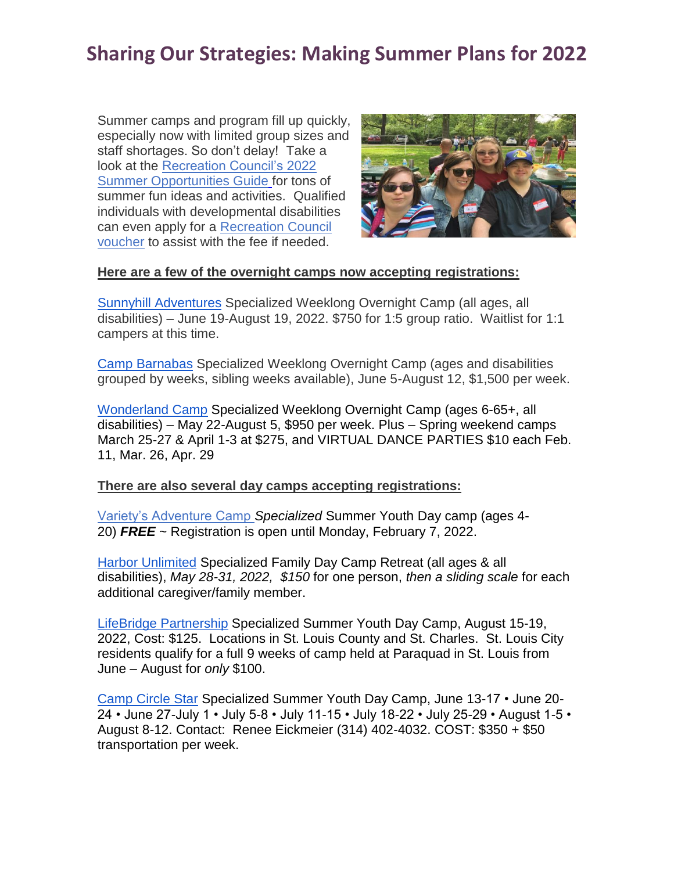## **Sharing Our Strategies: Making Summer Plans for 2022**

Summer camps and program fill up quickly, especially now with limited group sizes and staff shortages. So don't delay! Take a look at the [Recreation Council's 2022](https://rec4scc.wordpress.com/summer-camp-news-and-updates/?fbclid=IwAR1HycASsiF8s4qKqxze0DYLENsOaGbiTZWv6cZwYqUBaX-ZmTbMZyFGEqI&bblinkid=258292919&bbemailid=38244009&bbejrid=-2024118264)  [Summer Opportunities Guide](https://rec4scc.wordpress.com/summer-camp-news-and-updates/?fbclid=IwAR1HycASsiF8s4qKqxze0DYLENsOaGbiTZWv6cZwYqUBaX-ZmTbMZyFGEqI&bblinkid=258292919&bbemailid=38244009&bbejrid=-2024118264) for tons of summer fun ideas and activities. Qualified individuals with developmental disabilities can even apply for a [Recreation Council](https://recreationcouncil.org/applications/?fbclid=IwAR1BhTzDQpIdmMpmarzKIxanAXyezSTKREHVOYsO0UyQYBQcET0dn4Grrho&bblinkid=258292920&bbemailid=38244009&bbejrid=-2024118264)  [voucher](https://recreationcouncil.org/applications/?fbclid=IwAR1BhTzDQpIdmMpmarzKIxanAXyezSTKREHVOYsO0UyQYBQcET0dn4Grrho&bblinkid=258292920&bbemailid=38244009&bbejrid=-2024118264) to assist with the fee if needed.



## **Here are a few of the overnight camps now accepting registrations:**

[Sunnyhill Adventures](https://www.sunnyhillinc.org/recreation?bblinkid=258292925&bbemailid=38244009&bbejrid=-2024118264) Specialized Weeklong Overnight Camp (all ages, all disabilities) – June 19-August 19, 2022. \$750 for 1:5 group ratio. Waitlist for 1:1 campers at this time.

[Camp Barnabas](https://www.campbarnabas.org/campers/?bblinkid=258292922&bbemailid=38244009&bbejrid=-2024118264) Specialized Weeklong Overnight Camp (ages and disabilities grouped by weeks, sibling weeks available), June 5-August 12, \$1,500 per week.

[Wonderland Camp](https://www.wonderlandcamp.org/dates.html?bblinkid=258292926&bbemailid=38244009&bbejrid=-2024118264) Specialized Weeklong Overnight Camp (ages 6-65+, all disabilities) – May 22-August 5, \$950 per week. Plus – Spring weekend camps March 25-27 & April 1-3 at \$275, and VIRTUAL DANCE PARTIES \$10 each Feb. 11, Mar. 26, Apr. 29

**There are also several day camps accepting registrations:**

[Variety's Adventure Camp](https://varietystl.org/impact/recreation/?bblinkid=258292921&bbemailid=38244009&bbejrid=-2024118264) *Specialized* Summer Youth Day camp (ages 4- 20) *FREE* ~ Registration is open until Monday, February 7, 2022.

[Harbor Unlimited](https://www.harborunlimited.com/camp-lighthouse?bblinkid=258292923&bbemailid=38244009&bbejrid=-2024118264) Specialized Family Day Camp Retreat (all ages & all disabilities), *May 28-31, 2022, \$150* for one person, *then a sliding scale* for each additional caregiver/family member.

[LifeBridge Partnership](https://www.lifebridgestl.org/lifebridge-camps?bblinkid=258292924&bbemailid=38244009&bbejrid=-2024118264) Specialized Summer Youth Day Camp, August 15-19, 2022, Cost: \$125. Locations in St. Louis County and St. Charles. St. Louis City residents qualify for a full 9 weeks of camp held at Paraquad in St. Louis from June – August for *only* \$100.

[Camp Circle Star](https://www.campcirclestar.com/camp?bblinkid=258292916&bbemailid=38244009&bbejrid=-2024118264) Specialized Summer Youth Day Camp, June 13-17 • June 20- 24 • June 27-July 1 • July 5-8 • July 11-15 • July 18-22 • July 25-29 • August 1-5 • August 8-12. Contact: Renee Eickmeier (314) 402-4032. COST: \$350 + \$50 transportation per week.